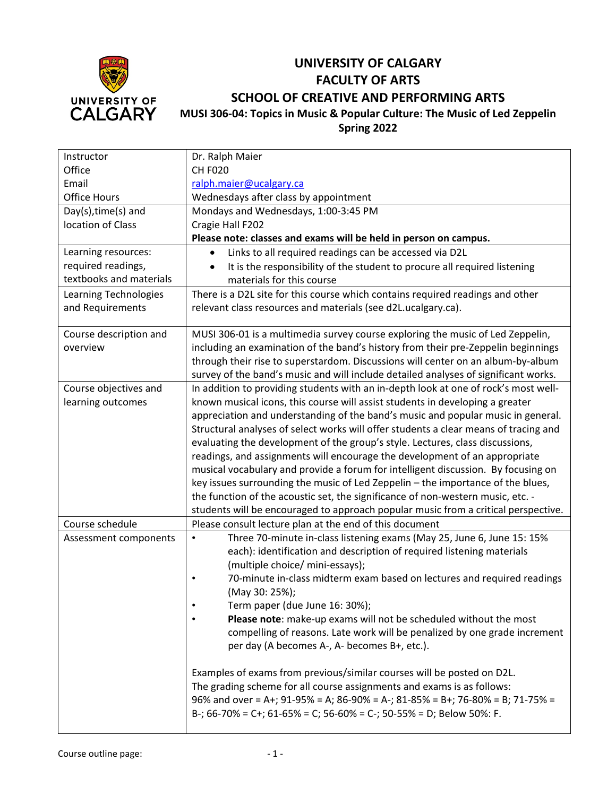

## **UNIVERSITY OF CALGARY FACULTY OF ARTS SCHOOL OF CREATIVE AND PERFORMING ARTS MUSI 306-04: Topics in Music & Popular Culture: The Music of Led Zeppelin**

**Spring 2022**

| Instructor              | Dr. Ralph Maier                                                                      |
|-------------------------|--------------------------------------------------------------------------------------|
| Office                  | <b>CH F020</b>                                                                       |
| Email                   | ralph.maier@ucalgary.ca                                                              |
| <b>Office Hours</b>     | Wednesdays after class by appointment                                                |
| Day(s), time(s) and     | Mondays and Wednesdays, 1:00-3:45 PM                                                 |
| location of Class       | Cragie Hall F202                                                                     |
|                         | Please note: classes and exams will be held in person on campus.                     |
| Learning resources:     | Links to all required readings can be accessed via D2L                               |
| required readings,      | It is the responsibility of the student to procure all required listening            |
| textbooks and materials | materials for this course                                                            |
| Learning Technologies   | There is a D2L site for this course which contains required readings and other       |
| and Requirements        | relevant class resources and materials (see d2L.ucalgary.ca).                        |
| Course description and  | MUSI 306-01 is a multimedia survey course exploring the music of Led Zeppelin,       |
| overview                | including an examination of the band's history from their pre-Zeppelin beginnings    |
|                         | through their rise to superstardom. Discussions will center on an album-by-album     |
|                         | survey of the band's music and will include detailed analyses of significant works.  |
| Course objectives and   | In addition to providing students with an in-depth look at one of rock's most well-  |
| learning outcomes       | known musical icons, this course will assist students in developing a greater        |
|                         | appreciation and understanding of the band's music and popular music in general.     |
|                         | Structural analyses of select works will offer students a clear means of tracing and |
|                         | evaluating the development of the group's style. Lectures, class discussions,        |
|                         | readings, and assignments will encourage the development of an appropriate           |
|                         | musical vocabulary and provide a forum for intelligent discussion. By focusing on    |
|                         | key issues surrounding the music of Led Zeppelin - the importance of the blues,      |
|                         | the function of the acoustic set, the significance of non-western music, etc. -      |
|                         | students will be encouraged to approach popular music from a critical perspective.   |
| Course schedule         | Please consult lecture plan at the end of this document                              |
| Assessment components   | Three 70-minute in-class listening exams (May 25, June 6, June 15: 15%<br>$\bullet$  |
|                         | each): identification and description of required listening materials                |
|                         | (multiple choice/ mini-essays);                                                      |
|                         | 70-minute in-class midterm exam based on lectures and required readings<br>$\bullet$ |
|                         | (May 30: 25%);                                                                       |
|                         | Term paper (due June 16: 30%);                                                       |
|                         | Please note: make-up exams will not be scheduled without the most                    |
|                         | compelling of reasons. Late work will be penalized by one grade increment            |
|                         | per day (A becomes A-, A- becomes B+, etc.).                                         |
|                         | Examples of exams from previous/similar courses will be posted on D2L.               |
|                         | The grading scheme for all course assignments and exams is as follows:               |
|                         | 96% and over = A+; 91-95% = A; 86-90% = A-; 81-85% = B+; 76-80% = B; 71-75% =        |
|                         | B-; 66-70% = C+; 61-65% = C; 56-60% = C-; 50-55% = D; Below 50%: F.                  |
|                         |                                                                                      |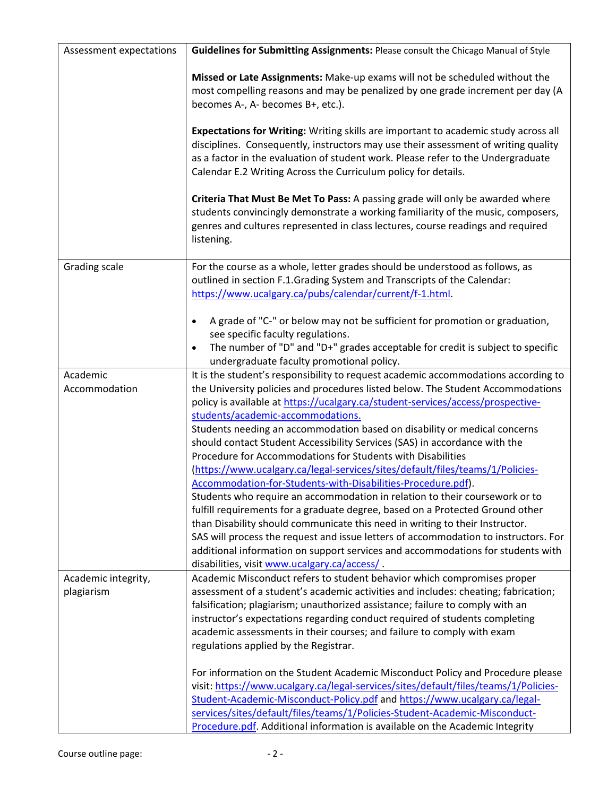| Assessment expectations           | Guidelines for Submitting Assignments: Please consult the Chicago Manual of Style                                                                                                                                                                                                                                                                                                                                                                                                                                                                                                                                                                                                                                                                                                                                                                                                                                                                                                                                                                                                                                                                  |
|-----------------------------------|----------------------------------------------------------------------------------------------------------------------------------------------------------------------------------------------------------------------------------------------------------------------------------------------------------------------------------------------------------------------------------------------------------------------------------------------------------------------------------------------------------------------------------------------------------------------------------------------------------------------------------------------------------------------------------------------------------------------------------------------------------------------------------------------------------------------------------------------------------------------------------------------------------------------------------------------------------------------------------------------------------------------------------------------------------------------------------------------------------------------------------------------------|
|                                   | Missed or Late Assignments: Make-up exams will not be scheduled without the<br>most compelling reasons and may be penalized by one grade increment per day (A<br>becomes A-, A- becomes B+, etc.).                                                                                                                                                                                                                                                                                                                                                                                                                                                                                                                                                                                                                                                                                                                                                                                                                                                                                                                                                 |
|                                   | Expectations for Writing: Writing skills are important to academic study across all<br>disciplines. Consequently, instructors may use their assessment of writing quality<br>as a factor in the evaluation of student work. Please refer to the Undergraduate<br>Calendar E.2 Writing Across the Curriculum policy for details.                                                                                                                                                                                                                                                                                                                                                                                                                                                                                                                                                                                                                                                                                                                                                                                                                    |
|                                   | Criteria That Must Be Met To Pass: A passing grade will only be awarded where<br>students convincingly demonstrate a working familiarity of the music, composers,<br>genres and cultures represented in class lectures, course readings and required<br>listening.                                                                                                                                                                                                                                                                                                                                                                                                                                                                                                                                                                                                                                                                                                                                                                                                                                                                                 |
| <b>Grading scale</b>              | For the course as a whole, letter grades should be understood as follows, as<br>outlined in section F.1.Grading System and Transcripts of the Calendar:<br>https://www.ucalgary.ca/pubs/calendar/current/f-1.html.                                                                                                                                                                                                                                                                                                                                                                                                                                                                                                                                                                                                                                                                                                                                                                                                                                                                                                                                 |
|                                   | A grade of "C-" or below may not be sufficient for promotion or graduation,<br>$\bullet$<br>see specific faculty regulations.<br>The number of "D" and "D+" grades acceptable for credit is subject to specific<br>undergraduate faculty promotional policy.                                                                                                                                                                                                                                                                                                                                                                                                                                                                                                                                                                                                                                                                                                                                                                                                                                                                                       |
| Academic<br>Accommodation         | It is the student's responsibility to request academic accommodations according to<br>the University policies and procedures listed below. The Student Accommodations<br>policy is available at https://ucalgary.ca/student-services/access/prospective-<br>students/academic-accommodations.<br>Students needing an accommodation based on disability or medical concerns<br>should contact Student Accessibility Services (SAS) in accordance with the<br>Procedure for Accommodations for Students with Disabilities<br>(https://www.ucalgary.ca/legal-services/sites/default/files/teams/1/Policies-<br>Accommodation-for-Students-with-Disabilities-Procedure.pdf).<br>Students who require an accommodation in relation to their coursework or to<br>fulfill requirements for a graduate degree, based on a Protected Ground other<br>than Disability should communicate this need in writing to their Instructor.<br>SAS will process the request and issue letters of accommodation to instructors. For<br>additional information on support services and accommodations for students with<br>disabilities, visit www.ucalgary.ca/access/. |
| Academic integrity,<br>plagiarism | Academic Misconduct refers to student behavior which compromises proper<br>assessment of a student's academic activities and includes: cheating; fabrication;<br>falsification; plagiarism; unauthorized assistance; failure to comply with an<br>instructor's expectations regarding conduct required of students completing<br>academic assessments in their courses; and failure to comply with exam<br>regulations applied by the Registrar.<br>For information on the Student Academic Misconduct Policy and Procedure please                                                                                                                                                                                                                                                                                                                                                                                                                                                                                                                                                                                                                 |
|                                   | visit: https://www.ucalgary.ca/legal-services/sites/default/files/teams/1/Policies-<br>Student-Academic-Misconduct-Policy.pdf and https://www.ucalgary.ca/legal-<br>services/sites/default/files/teams/1/Policies-Student-Academic-Misconduct-<br>Procedure.pdf. Additional information is available on the Academic Integrity                                                                                                                                                                                                                                                                                                                                                                                                                                                                                                                                                                                                                                                                                                                                                                                                                     |